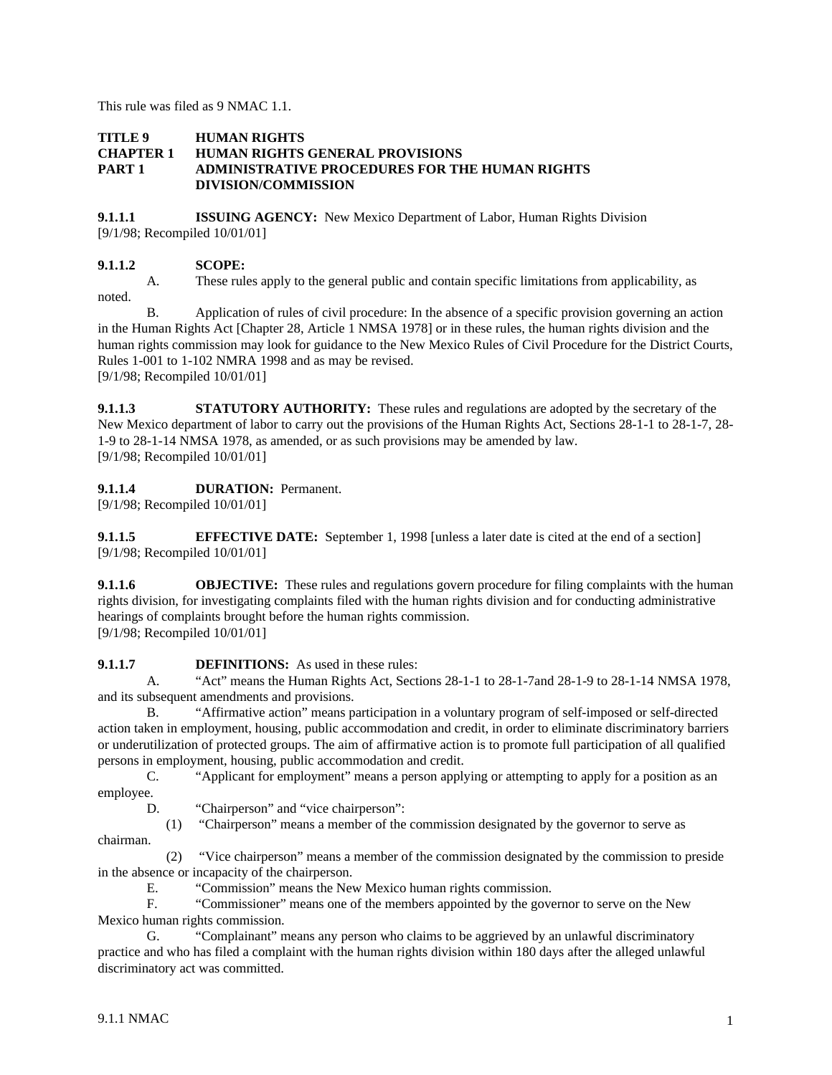This rule was filed as 9 NMAC 1.1.

#### **TITLE 9 HUMAN RIGHTS CHAPTER 1 HUMAN RIGHTS GENERAL PROVISIONS PART 1 ADMINISTRATIVE PROCEDURES FOR THE HUMAN RIGHTS DIVISION/COMMISSION**

**9.1.1.1 ISSUING AGENCY:** New Mexico Department of Labor, Human Rights Division [9/1/98; Recompiled 10/01/01]

## **9.1.1.2 SCOPE:**

A. These rules apply to the general public and contain specific limitations from applicability, as noted.

B. Application of rules of civil procedure: In the absence of a specific provision governing an action in the Human Rights Act [Chapter 28, Article 1 NMSA 1978] or in these rules, the human rights division and the human rights commission may look for guidance to the New Mexico Rules of Civil Procedure for the District Courts, Rules 1-001 to 1-102 NMRA 1998 and as may be revised. [9/1/98; Recompiled 10/01/01]

**9.1.1.3 STATUTORY AUTHORITY:** These rules and regulations are adopted by the secretary of the New Mexico department of labor to carry out the provisions of the Human Rights Act, Sections 28-1-1 to 28-1-7, 28- 1-9 to 28-1-14 NMSA 1978, as amended, or as such provisions may be amended by law. [9/1/98; Recompiled 10/01/01]

# **9.1.1.4 DURATION:** Permanent.

[9/1/98; Recompiled 10/01/01]

**9.1.1.5 EFFECTIVE DATE:** September 1, 1998 [unless a later date is cited at the end of a section] [9/1/98; Recompiled 10/01/01]

**9.1.1.6 OBJECTIVE:** These rules and regulations govern procedure for filing complaints with the human rights division, for investigating complaints filed with the human rights division and for conducting administrative hearings of complaints brought before the human rights commission. [9/1/98; Recompiled 10/01/01]

**9.1.1.7 DEFINITIONS:** As used in these rules:

A. "Act" means the Human Rights Act, Sections 28-1-1 to 28-1-7and 28-1-9 to 28-1-14 NMSA 1978, and its subsequent amendments and provisions.

B. "Affirmative action" means participation in a voluntary program of self-imposed or self-directed action taken in employment, housing, public accommodation and credit, in order to eliminate discriminatory barriers or underutilization of protected groups. The aim of affirmative action is to promote full participation of all qualified persons in employment, housing, public accommodation and credit.

C. "Applicant for employment" means a person applying or attempting to apply for a position as an employee.

D. "Chairperson" and "vice chairperson":

 (1) "Chairperson" means a member of the commission designated by the governor to serve as chairman.

 (2) "Vice chairperson" means a member of the commission designated by the commission to preside in the absence or incapacity of the chairperson.

E. "Commission" means the New Mexico human rights commission.

F. "Commissioner" means one of the members appointed by the governor to serve on the New Mexico human rights commission.

G. "Complainant" means any person who claims to be aggrieved by an unlawful discriminatory practice and who has filed a complaint with the human rights division within 180 days after the alleged unlawful discriminatory act was committed.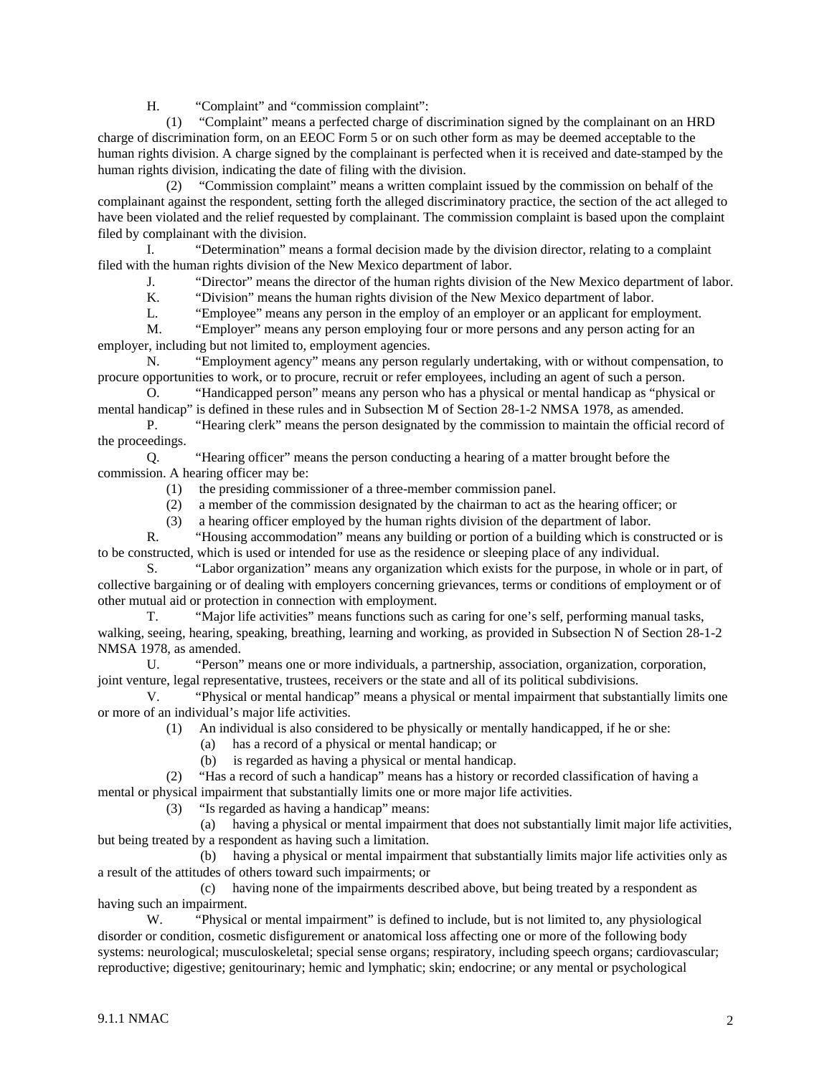H. "Complaint" and "commission complaint":

 (1) "Complaint" means a perfected charge of discrimination signed by the complainant on an HRD charge of discrimination form, on an EEOC Form 5 or on such other form as may be deemed acceptable to the human rights division. A charge signed by the complainant is perfected when it is received and date-stamped by the human rights division, indicating the date of filing with the division.

 (2) "Commission complaint" means a written complaint issued by the commission on behalf of the complainant against the respondent, setting forth the alleged discriminatory practice, the section of the act alleged to have been violated and the relief requested by complainant. The commission complaint is based upon the complaint filed by complainant with the division.

I. "Determination" means a formal decision made by the division director, relating to a complaint filed with the human rights division of the New Mexico department of labor.

J. "Director" means the director of the human rights division of the New Mexico department of labor.

K. "Division" means the human rights division of the New Mexico department of labor.

L. "Employee" means any person in the employ of an employer or an applicant for employment.

M. "Employer" means any person employing four or more persons and any person acting for an employer, including but not limited to, employment agencies.

N. "Employment agency" means any person regularly undertaking, with or without compensation, to procure opportunities to work, or to procure, recruit or refer employees, including an agent of such a person.

O. "Handicapped person" means any person who has a physical or mental handicap as "physical or mental handicap" is defined in these rules and in Subsection M of Section 28-1-2 NMSA 1978, as amended.

P. "Hearing clerk" means the person designated by the commission to maintain the official record of the proceedings.

Q. "Hearing officer" means the person conducting a hearing of a matter brought before the commission. A hearing officer may be:

- (1) the presiding commissioner of a three-member commission panel.
- (2) a member of the commission designated by the chairman to act as the hearing officer; or
- (3) a hearing officer employed by the human rights division of the department of labor.

R. "Housing accommodation" means any building or portion of a building which is constructed or is to be constructed, which is used or intended for use as the residence or sleeping place of any individual.

S. "Labor organization" means any organization which exists for the purpose, in whole or in part, of collective bargaining or of dealing with employers concerning grievances, terms or conditions of employment or of other mutual aid or protection in connection with employment.

T. "Major life activities" means functions such as caring for one's self, performing manual tasks, walking, seeing, hearing, speaking, breathing, learning and working, as provided in Subsection N of Section 28-1-2 NMSA 1978, as amended.

U. "Person" means one or more individuals, a partnership, association, organization, corporation, joint venture, legal representative, trustees, receivers or the state and all of its political subdivisions.

V. "Physical or mental handicap" means a physical or mental impairment that substantially limits one or more of an individual's major life activities.

(1) An individual is also considered to be physically or mentally handicapped, if he or she:

(a) has a record of a physical or mental handicap; or

(b) is regarded as having a physical or mental handicap.

 (2) "Has a record of such a handicap" means has a history or recorded classification of having a mental or physical impairment that substantially limits one or more major life activities.

(3) "Is regarded as having a handicap" means:

 (a) having a physical or mental impairment that does not substantially limit major life activities, but being treated by a respondent as having such a limitation.

 (b) having a physical or mental impairment that substantially limits major life activities only as a result of the attitudes of others toward such impairments; or

 (c) having none of the impairments described above, but being treated by a respondent as having such an impairment.

W. "Physical or mental impairment" is defined to include, but is not limited to, any physiological disorder or condition, cosmetic disfigurement or anatomical loss affecting one or more of the following body systems: neurological; musculoskeletal; special sense organs; respiratory, including speech organs; cardiovascular; reproductive; digestive; genitourinary; hemic and lymphatic; skin; endocrine; or any mental or psychological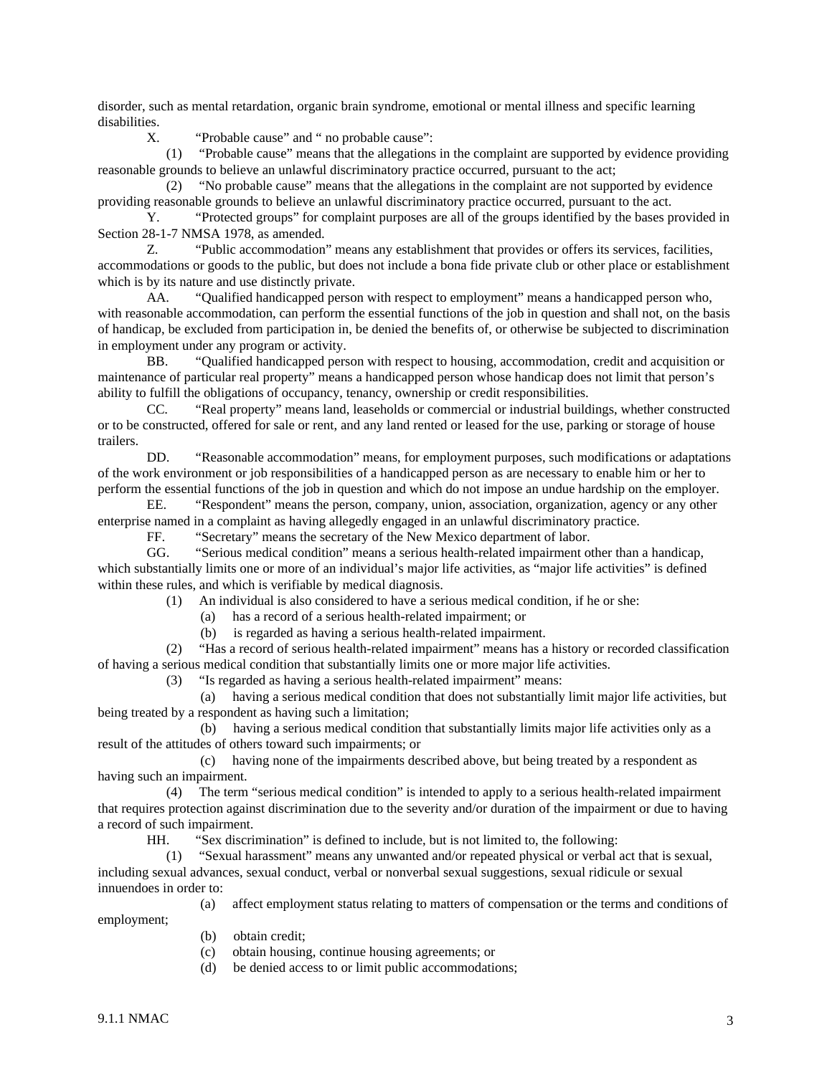disorder, such as mental retardation, organic brain syndrome, emotional or mental illness and specific learning disabilities.

X. "Probable cause" and " no probable cause":

 (1) "Probable cause" means that the allegations in the complaint are supported by evidence providing reasonable grounds to believe an unlawful discriminatory practice occurred, pursuant to the act;

 (2) "No probable cause" means that the allegations in the complaint are not supported by evidence providing reasonable grounds to believe an unlawful discriminatory practice occurred, pursuant to the act.

Y. "Protected groups" for complaint purposes are all of the groups identified by the bases provided in Section 28-1-7 NMSA 1978, as amended.

Z. "Public accommodation" means any establishment that provides or offers its services, facilities, accommodations or goods to the public, but does not include a bona fide private club or other place or establishment which is by its nature and use distinctly private.

AA. "Qualified handicapped person with respect to employment" means a handicapped person who, with reasonable accommodation, can perform the essential functions of the job in question and shall not, on the basis of handicap, be excluded from participation in, be denied the benefits of, or otherwise be subjected to discrimination in employment under any program or activity.

BB. "Qualified handicapped person with respect to housing, accommodation, credit and acquisition or maintenance of particular real property" means a handicapped person whose handicap does not limit that person's ability to fulfill the obligations of occupancy, tenancy, ownership or credit responsibilities.

CC. "Real property" means land, leaseholds or commercial or industrial buildings, whether constructed or to be constructed, offered for sale or rent, and any land rented or leased for the use, parking or storage of house trailers.

DD. "Reasonable accommodation" means, for employment purposes, such modifications or adaptations of the work environment or job responsibilities of a handicapped person as are necessary to enable him or her to perform the essential functions of the job in question and which do not impose an undue hardship on the employer.

EE. "Respondent" means the person, company, union, association, organization, agency or any other enterprise named in a complaint as having allegedly engaged in an unlawful discriminatory practice.

FF. "Secretary" means the secretary of the New Mexico department of labor.

GG. "Serious medical condition" means a serious health-related impairment other than a handicap, which substantially limits one or more of an individual's major life activities, as "major life activities" is defined within these rules, and which is verifiable by medical diagnosis.

(1) An individual is also considered to have a serious medical condition, if he or she:

(a) has a record of a serious health-related impairment; or

(b) is regarded as having a serious health-related impairment.

 (2) "Has a record of serious health-related impairment" means has a history or recorded classification of having a serious medical condition that substantially limits one or more major life activities.

(3) "Is regarded as having a serious health-related impairment" means:

 (a) having a serious medical condition that does not substantially limit major life activities, but being treated by a respondent as having such a limitation;

 (b) having a serious medical condition that substantially limits major life activities only as a result of the attitudes of others toward such impairments; or

 (c) having none of the impairments described above, but being treated by a respondent as having such an impairment.

 (4) The term "serious medical condition" is intended to apply to a serious health-related impairment that requires protection against discrimination due to the severity and/or duration of the impairment or due to having a record of such impairment.

HH. "Sex discrimination" is defined to include, but is not limited to, the following:

 (1) "Sexual harassment" means any unwanted and/or repeated physical or verbal act that is sexual, including sexual advances, sexual conduct, verbal or nonverbal sexual suggestions, sexual ridicule or sexual innuendoes in order to:

(a) affect employment status relating to matters of compensation or the terms and conditions of

(b) obtain credit;

(c) obtain housing, continue housing agreements; or

(d) be denied access to or limit public accommodations;

employment;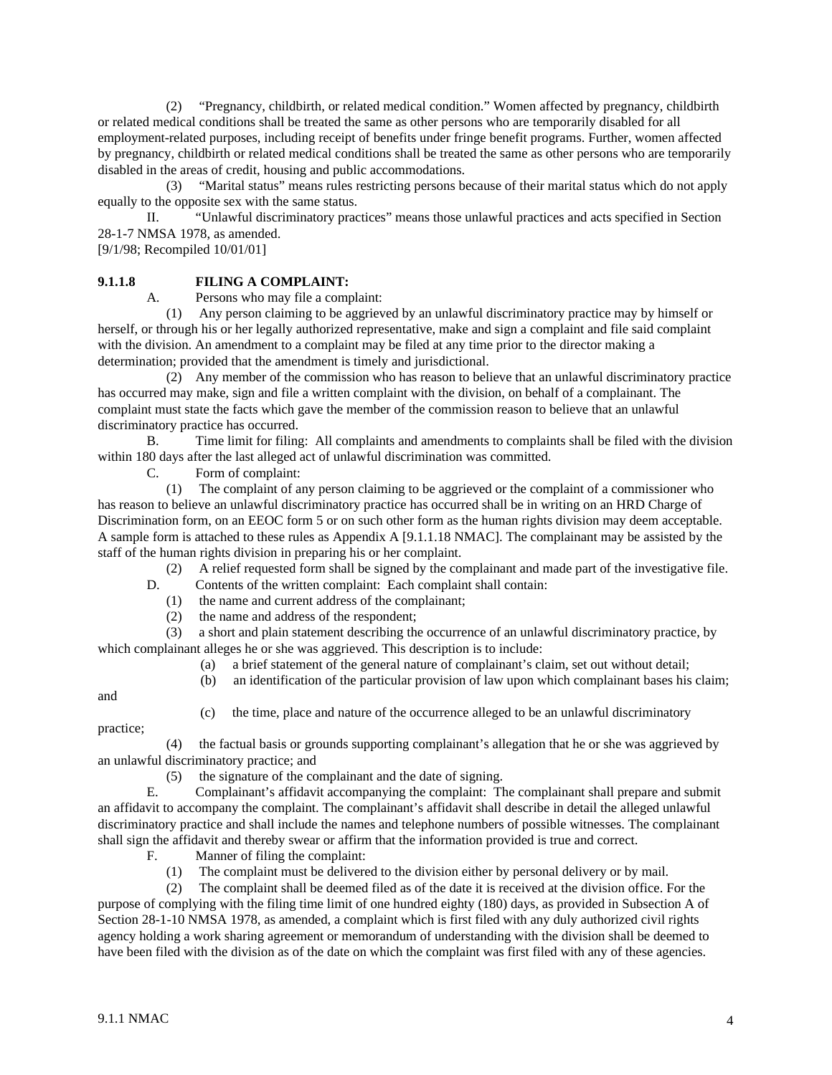(2) "Pregnancy, childbirth, or related medical condition." Women affected by pregnancy, childbirth or related medical conditions shall be treated the same as other persons who are temporarily disabled for all employment-related purposes, including receipt of benefits under fringe benefit programs. Further, women affected by pregnancy, childbirth or related medical conditions shall be treated the same as other persons who are temporarily disabled in the areas of credit, housing and public accommodations.

 (3) "Marital status" means rules restricting persons because of their marital status which do not apply equally to the opposite sex with the same status.

II. "Unlawful discriminatory practices" means those unlawful practices and acts specified in Section 28-1-7 NMSA 1978, as amended.

[9/1/98; Recompiled 10/01/01]

# **9.1.1.8 FILING A COMPLAINT:**

A. Persons who may file a complaint:

 (1) Any person claiming to be aggrieved by an unlawful discriminatory practice may by himself or herself, or through his or her legally authorized representative, make and sign a complaint and file said complaint with the division. An amendment to a complaint may be filed at any time prior to the director making a determination; provided that the amendment is timely and jurisdictional.

 (2) Any member of the commission who has reason to believe that an unlawful discriminatory practice has occurred may make, sign and file a written complaint with the division, on behalf of a complainant. The complaint must state the facts which gave the member of the commission reason to believe that an unlawful discriminatory practice has occurred.

B. Time limit for filing:All complaints and amendments to complaints shall be filed with the division within 180 days after the last alleged act of unlawful discrimination was committed.

C. Form of complaint:

 (1) The complaint of any person claiming to be aggrieved or the complaint of a commissioner who has reason to believe an unlawful discriminatory practice has occurred shall be in writing on an HRD Charge of Discrimination form, on an EEOC form 5 or on such other form as the human rights division may deem acceptable. A sample form is attached to these rules as Appendix A [9.1.1.18 NMAC]. The complainant may be assisted by the staff of the human rights division in preparing his or her complaint.

(2) A relief requested form shall be signed by the complainant and made part of the investigative file.

D. Contents of the written complaint: Each complaint shall contain:

(1) the name and current address of the complainant;

(2) the name and address of the respondent;

 (3) a short and plain statement describing the occurrence of an unlawful discriminatory practice, by which complainant alleges he or she was aggrieved. This description is to include:

- (a) a brief statement of the general nature of complainant's claim, set out without detail;
- (b) an identification of the particular provision of law upon which complainant bases his claim;

and

(c) the time, place and nature of the occurrence alleged to be an unlawful discriminatory

practice;

 (4) the factual basis or grounds supporting complainant's allegation that he or she was aggrieved by an unlawful discriminatory practice; and

(5) the signature of the complainant and the date of signing.

E. Complainant's affidavit accompanying the complaint:The complainant shall prepare and submit an affidavit to accompany the complaint. The complainant's affidavit shall describe in detail the alleged unlawful discriminatory practice and shall include the names and telephone numbers of possible witnesses. The complainant shall sign the affidavit and thereby swear or affirm that the information provided is true and correct.

F. Manner of filing the complaint:

(1) The complaint must be delivered to the division either by personal delivery or by mail.

 (2) The complaint shall be deemed filed as of the date it is received at the division office. For the purpose of complying with the filing time limit of one hundred eighty (180) days, as provided in Subsection A of Section 28-1-10 NMSA 1978, as amended, a complaint which is first filed with any duly authorized civil rights agency holding a work sharing agreement or memorandum of understanding with the division shall be deemed to have been filed with the division as of the date on which the complaint was first filed with any of these agencies.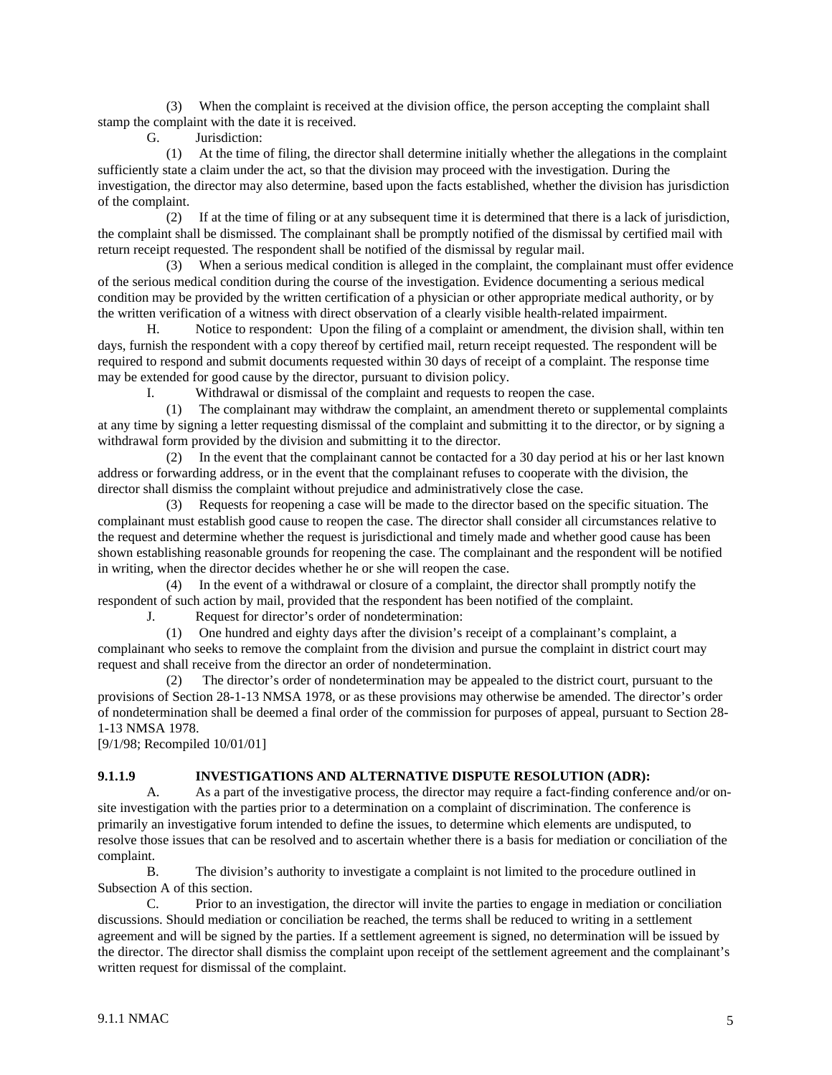(3) When the complaint is received at the division office, the person accepting the complaint shall stamp the complaint with the date it is received.

G. Jurisdiction:

 (1) At the time of filing, the director shall determine initially whether the allegations in the complaint sufficiently state a claim under the act, so that the division may proceed with the investigation. During the investigation, the director may also determine, based upon the facts established, whether the division has jurisdiction of the complaint.

 (2) If at the time of filing or at any subsequent time it is determined that there is a lack of jurisdiction, the complaint shall be dismissed. The complainant shall be promptly notified of the dismissal by certified mail with return receipt requested. The respondent shall be notified of the dismissal by regular mail.

 (3) When a serious medical condition is alleged in the complaint, the complainant must offer evidence of the serious medical condition during the course of the investigation. Evidence documenting a serious medical condition may be provided by the written certification of a physician or other appropriate medical authority, or by the written verification of a witness with direct observation of a clearly visible health-related impairment.

H. Notice to respondent:Upon the filing of a complaint or amendment, the division shall, within ten days, furnish the respondent with a copy thereof by certified mail, return receipt requested. The respondent will be required to respond and submit documents requested within 30 days of receipt of a complaint. The response time may be extended for good cause by the director, pursuant to division policy.

Withdrawal or dismissal of the complaint and requests to reopen the case.

 (1) The complainant may withdraw the complaint, an amendment thereto or supplemental complaints at any time by signing a letter requesting dismissal of the complaint and submitting it to the director, or by signing a withdrawal form provided by the division and submitting it to the director.

 (2) In the event that the complainant cannot be contacted for a 30 day period at his or her last known address or forwarding address, or in the event that the complainant refuses to cooperate with the division, the director shall dismiss the complaint without prejudice and administratively close the case.

 (3) Requests for reopening a case will be made to the director based on the specific situation. The complainant must establish good cause to reopen the case. The director shall consider all circumstances relative to the request and determine whether the request is jurisdictional and timely made and whether good cause has been shown establishing reasonable grounds for reopening the case. The complainant and the respondent will be notified in writing, when the director decides whether he or she will reopen the case.

 (4) In the event of a withdrawal or closure of a complaint, the director shall promptly notify the respondent of such action by mail, provided that the respondent has been notified of the complaint.

J. Request for director's order of nondetermination:

 (1) One hundred and eighty days after the division's receipt of a complainant's complaint, a complainant who seeks to remove the complaint from the division and pursue the complaint in district court may request and shall receive from the director an order of nondetermination.

 (2) The director's order of nondetermination may be appealed to the district court, pursuant to the provisions of Section 28-1-13 NMSA 1978, or as these provisions may otherwise be amended. The director's order of nondetermination shall be deemed a final order of the commission for purposes of appeal, pursuant to Section 28- 1-13 NMSA 1978.

[9/1/98; Recompiled 10/01/01]

# **9.1.1.9 INVESTIGATIONS AND ALTERNATIVE DISPUTE RESOLUTION (ADR):**

A. As a part of the investigative process, the director may require a fact-finding conference and/or onsite investigation with the parties prior to a determination on a complaint of discrimination. The conference is primarily an investigative forum intended to define the issues, to determine which elements are undisputed, to resolve those issues that can be resolved and to ascertain whether there is a basis for mediation or conciliation of the complaint.

B. The division's authority to investigate a complaint is not limited to the procedure outlined in Subsection A of this section.

C. Prior to an investigation, the director will invite the parties to engage in mediation or conciliation discussions. Should mediation or conciliation be reached, the terms shall be reduced to writing in a settlement agreement and will be signed by the parties. If a settlement agreement is signed, no determination will be issued by the director. The director shall dismiss the complaint upon receipt of the settlement agreement and the complainant's written request for dismissal of the complaint.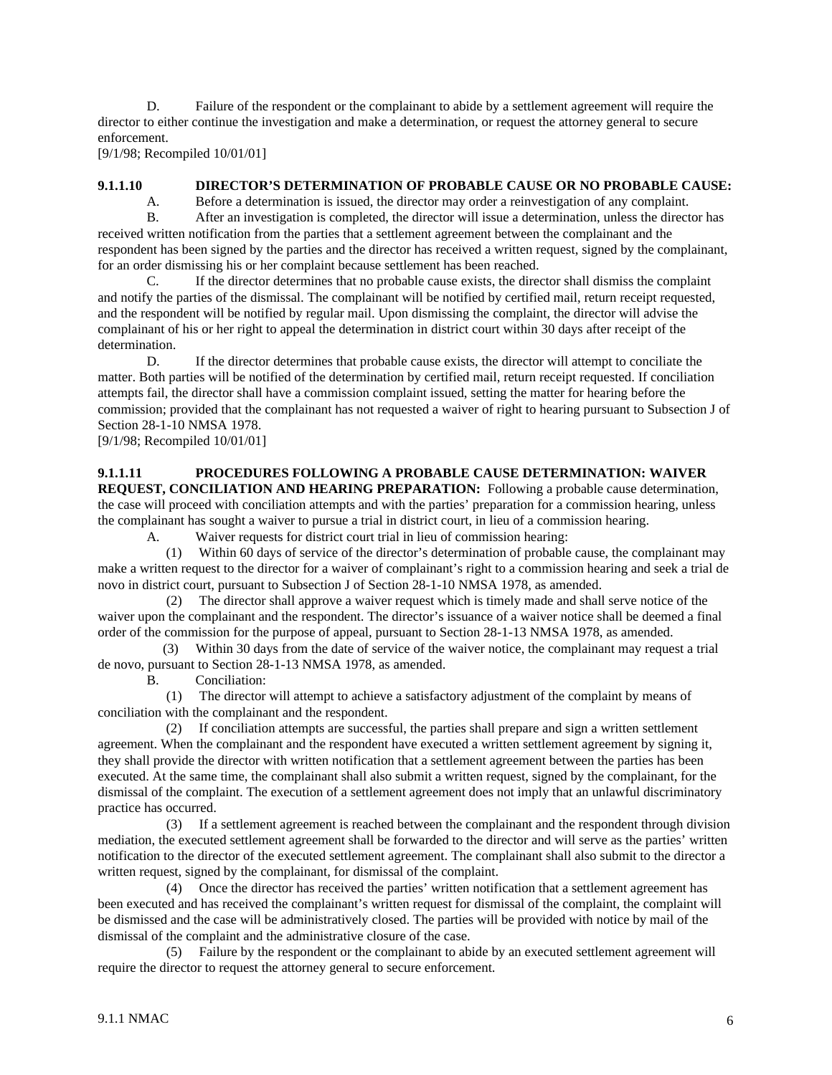D. Failure of the respondent or the complainant to abide by a settlement agreement will require the director to either continue the investigation and make a determination, or request the attorney general to secure enforcement.

[9/1/98; Recompiled 10/01/01]

#### **9.1.1.10 DIRECTOR'S DETERMINATION OF PROBABLE CAUSE OR NO PROBABLE CAUSE:**

A. Before a determination is issued, the director may order a reinvestigation of any complaint.

B. After an investigation is completed, the director will issue a determination, unless the director has received written notification from the parties that a settlement agreement between the complainant and the respondent has been signed by the parties and the director has received a written request, signed by the complainant, for an order dismissing his or her complaint because settlement has been reached.

C. If the director determines that no probable cause exists, the director shall dismiss the complaint and notify the parties of the dismissal. The complainant will be notified by certified mail, return receipt requested, and the respondent will be notified by regular mail. Upon dismissing the complaint, the director will advise the complainant of his or her right to appeal the determination in district court within 30 days after receipt of the determination.

D. If the director determines that probable cause exists, the director will attempt to conciliate the matter. Both parties will be notified of the determination by certified mail, return receipt requested. If conciliation attempts fail, the director shall have a commission complaint issued, setting the matter for hearing before the commission; provided that the complainant has not requested a waiver of right to hearing pursuant to Subsection J of Section 28-1-10 NMSA 1978.

[9/1/98; Recompiled 10/01/01]

# **9.1.1.11 PROCEDURES FOLLOWING A PROBABLE CAUSE DETERMINATION: WAIVER**

**REQUEST, CONCILIATION AND HEARING PREPARATION:** Following a probable cause determination, the case will proceed with conciliation attempts and with the parties' preparation for a commission hearing, unless the complainant has sought a waiver to pursue a trial in district court, in lieu of a commission hearing.

A. Waiver requests for district court trial in lieu of commission hearing:

 (1) Within 60 days of service of the director's determination of probable cause, the complainant may make a written request to the director for a waiver of complainant's right to a commission hearing and seek a trial de novo in district court, pursuant to Subsection J of Section 28-1-10 NMSA 1978, as amended.

 (2) The director shall approve a waiver request which is timely made and shall serve notice of the waiver upon the complainant and the respondent. The director's issuance of a waiver notice shall be deemed a final order of the commission for the purpose of appeal, pursuant to Section 28-1-13 NMSA 1978, as amended.

 (3) Within 30 days from the date of service of the waiver notice, the complainant may request a trial de novo, pursuant to Section 28-1-13 NMSA 1978, as amended.

B. Conciliation:

 (1) The director will attempt to achieve a satisfactory adjustment of the complaint by means of conciliation with the complainant and the respondent.

 (2) If conciliation attempts are successful, the parties shall prepare and sign a written settlement agreement. When the complainant and the respondent have executed a written settlement agreement by signing it, they shall provide the director with written notification that a settlement agreement between the parties has been executed. At the same time, the complainant shall also submit a written request, signed by the complainant, for the dismissal of the complaint. The execution of a settlement agreement does not imply that an unlawful discriminatory practice has occurred.

 (3) If a settlement agreement is reached between the complainant and the respondent through division mediation, the executed settlement agreement shall be forwarded to the director and will serve as the parties' written notification to the director of the executed settlement agreement. The complainant shall also submit to the director a written request, signed by the complainant, for dismissal of the complaint.

 (4) Once the director has received the parties' written notification that a settlement agreement has been executed and has received the complainant's written request for dismissal of the complaint, the complaint will be dismissed and the case will be administratively closed. The parties will be provided with notice by mail of the dismissal of the complaint and the administrative closure of the case.

 (5) Failure by the respondent or the complainant to abide by an executed settlement agreement will require the director to request the attorney general to secure enforcement.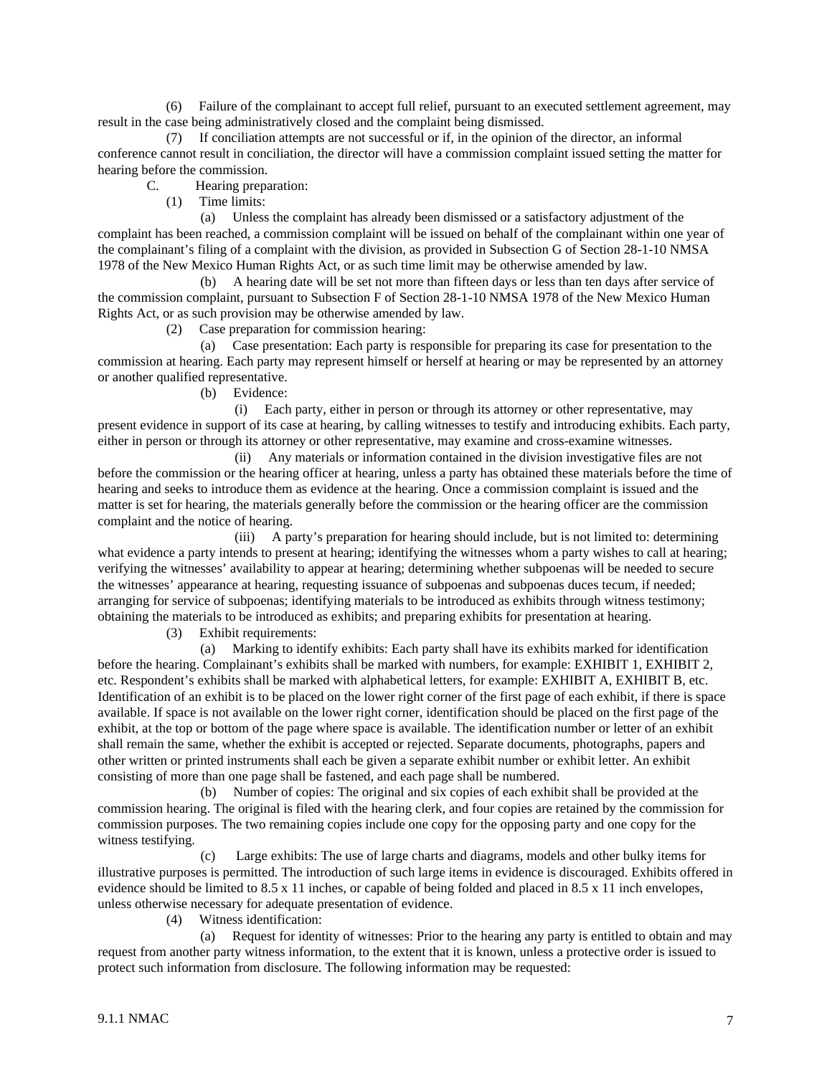(6) Failure of the complainant to accept full relief, pursuant to an executed settlement agreement, may result in the case being administratively closed and the complaint being dismissed.

 (7) If conciliation attempts are not successful or if, in the opinion of the director, an informal conference cannot result in conciliation, the director will have a commission complaint issued setting the matter for hearing before the commission.

C. Hearing preparation:

(1) Time limits:

 (a) Unless the complaint has already been dismissed or a satisfactory adjustment of the complaint has been reached, a commission complaint will be issued on behalf of the complainant within one year of the complainant's filing of a complaint with the division, as provided in Subsection G of Section 28-1-10 NMSA 1978 of the New Mexico Human Rights Act, or as such time limit may be otherwise amended by law.

 (b) A hearing date will be set not more than fifteen days or less than ten days after service of the commission complaint, pursuant to Subsection F of Section 28-1-10 NMSA 1978 of the New Mexico Human Rights Act, or as such provision may be otherwise amended by law.

(2) Case preparation for commission hearing:

 (a) Case presentation: Each party is responsible for preparing its case for presentation to the commission at hearing. Each party may represent himself or herself at hearing or may be represented by an attorney or another qualified representative.

(b) Evidence:

 (i) Each party, either in person or through its attorney or other representative, may present evidence in support of its case at hearing, by calling witnesses to testify and introducing exhibits. Each party, either in person or through its attorney or other representative, may examine and cross-examine witnesses.

 (ii) Any materials or information contained in the division investigative files are not before the commission or the hearing officer at hearing, unless a party has obtained these materials before the time of hearing and seeks to introduce them as evidence at the hearing. Once a commission complaint is issued and the matter is set for hearing, the materials generally before the commission or the hearing officer are the commission complaint and the notice of hearing.

 (iii) A party's preparation for hearing should include, but is not limited to: determining what evidence a party intends to present at hearing; identifying the witnesses whom a party wishes to call at hearing; verifying the witnesses' availability to appear at hearing; determining whether subpoenas will be needed to secure the witnesses' appearance at hearing, requesting issuance of subpoenas and subpoenas duces tecum, if needed; arranging for service of subpoenas; identifying materials to be introduced as exhibits through witness testimony; obtaining the materials to be introduced as exhibits; and preparing exhibits for presentation at hearing.

(3) Exhibit requirements:

 (a) Marking to identify exhibits: Each party shall have its exhibits marked for identification before the hearing. Complainant's exhibits shall be marked with numbers, for example: EXHIBIT 1, EXHIBIT 2, etc. Respondent's exhibits shall be marked with alphabetical letters, for example: EXHIBIT A, EXHIBIT B, etc. Identification of an exhibit is to be placed on the lower right corner of the first page of each exhibit, if there is space available. If space is not available on the lower right corner, identification should be placed on the first page of the exhibit, at the top or bottom of the page where space is available. The identification number or letter of an exhibit shall remain the same, whether the exhibit is accepted or rejected. Separate documents, photographs, papers and other written or printed instruments shall each be given a separate exhibit number or exhibit letter. An exhibit consisting of more than one page shall be fastened, and each page shall be numbered.

 (b) Number of copies: The original and six copies of each exhibit shall be provided at the commission hearing. The original is filed with the hearing clerk, and four copies are retained by the commission for commission purposes. The two remaining copies include one copy for the opposing party and one copy for the witness testifying.

 (c) Large exhibits: The use of large charts and diagrams, models and other bulky items for illustrative purposes is permitted. The introduction of such large items in evidence is discouraged. Exhibits offered in evidence should be limited to 8.5 x 11 inches, or capable of being folded and placed in 8.5 x 11 inch envelopes, unless otherwise necessary for adequate presentation of evidence.

(4) Witness identification:

 (a) Request for identity of witnesses: Prior to the hearing any party is entitled to obtain and may request from another party witness information, to the extent that it is known, unless a protective order is issued to protect such information from disclosure. The following information may be requested: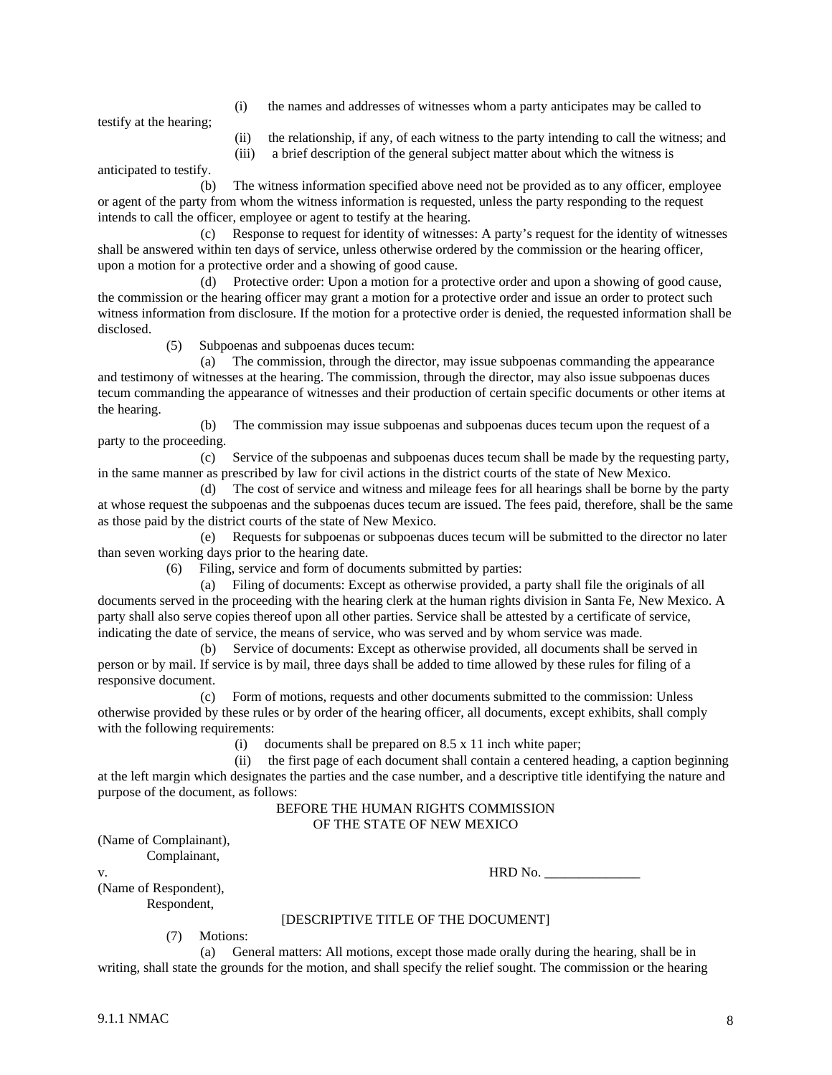(i) the names and addresses of witnesses whom a party anticipates may be called to

testify at the hearing;

- (ii) the relationship, if any, of each witness to the party intending to call the witness; and
- (iii) a brief description of the general subject matter about which the witness is

anticipated to testify.

 (b) The witness information specified above need not be provided as to any officer, employee or agent of the party from whom the witness information is requested, unless the party responding to the request intends to call the officer, employee or agent to testify at the hearing.

 (c) Response to request for identity of witnesses: A party's request for the identity of witnesses shall be answered within ten days of service, unless otherwise ordered by the commission or the hearing officer, upon a motion for a protective order and a showing of good cause.

 (d) Protective order: Upon a motion for a protective order and upon a showing of good cause, the commission or the hearing officer may grant a motion for a protective order and issue an order to protect such witness information from disclosure. If the motion for a protective order is denied, the requested information shall be disclosed.

(5) Subpoenas and subpoenas duces tecum:

 (a) The commission, through the director, may issue subpoenas commanding the appearance and testimony of witnesses at the hearing. The commission, through the director, may also issue subpoenas duces tecum commanding the appearance of witnesses and their production of certain specific documents or other items at the hearing.

 (b) The commission may issue subpoenas and subpoenas duces tecum upon the request of a party to the proceeding.

 (c) Service of the subpoenas and subpoenas duces tecum shall be made by the requesting party, in the same manner as prescribed by law for civil actions in the district courts of the state of New Mexico.

 (d) The cost of service and witness and mileage fees for all hearings shall be borne by the party at whose request the subpoenas and the subpoenas duces tecum are issued. The fees paid, therefore, shall be the same as those paid by the district courts of the state of New Mexico.

 (e) Requests for subpoenas or subpoenas duces tecum will be submitted to the director no later than seven working days prior to the hearing date.

(6) Filing, service and form of documents submitted by parties:

 (a) Filing of documents: Except as otherwise provided, a party shall file the originals of all documents served in the proceeding with the hearing clerk at the human rights division in Santa Fe, New Mexico. A party shall also serve copies thereof upon all other parties. Service shall be attested by a certificate of service, indicating the date of service, the means of service, who was served and by whom service was made.

 (b) Service of documents: Except as otherwise provided, all documents shall be served in person or by mail. If service is by mail, three days shall be added to time allowed by these rules for filing of a responsive document.

 (c) Form of motions, requests and other documents submitted to the commission: Unless otherwise provided by these rules or by order of the hearing officer, all documents, except exhibits, shall comply with the following requirements:

(i) documents shall be prepared on 8.5 x 11 inch white paper;

 (ii) the first page of each document shall contain a centered heading, a caption beginning at the left margin which designates the parties and the case number, and a descriptive title identifying the nature and purpose of the document, as follows:

#### BEFORE THE HUMAN RIGHTS COMMISSION OF THE STATE OF NEW MEXICO

| (Name of Complainant), |  |  |
|------------------------|--|--|
|------------------------|--|--|

Complainant,

v. HRD No. \_\_\_\_\_\_\_\_\_\_\_\_\_\_

(Name of Respondent), Respondent,

## [DESCRIPTIVE TITLE OF THE DOCUMENT]

(7) Motions:

 (a) General matters: All motions, except those made orally during the hearing, shall be in writing, shall state the grounds for the motion, and shall specify the relief sought. The commission or the hearing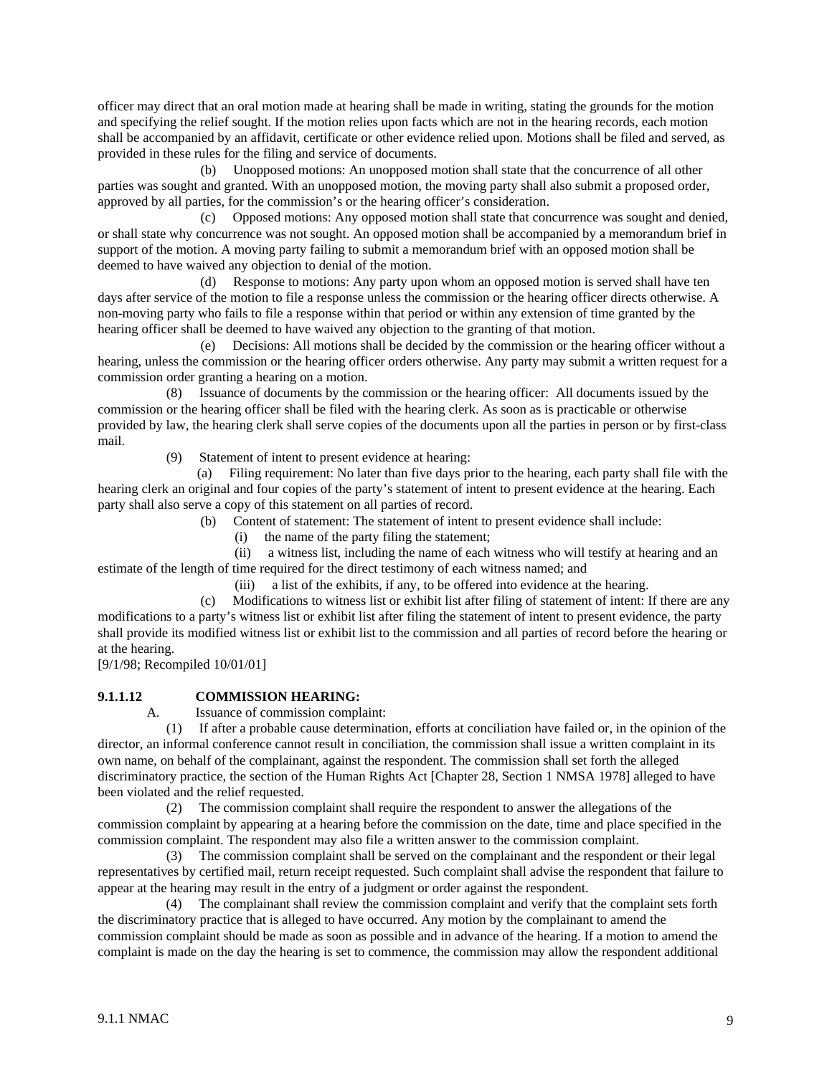officer may direct that an oral motion made at hearing shall be made in writing, stating the grounds for the motion and specifying the relief sought. If the motion relies upon facts which are not in the hearing records, each motion shall be accompanied by an affidavit, certificate or other evidence relied upon. Motions shall be filed and served, as provided in these rules for the filing and service of documents.

 (b) Unopposed motions: An unopposed motion shall state that the concurrence of all other parties was sought and granted. With an unopposed motion, the moving party shall also submit a proposed order, approved by all parties, for the commission's or the hearing officer's consideration.

 (c) Opposed motions: Any opposed motion shall state that concurrence was sought and denied, or shall state why concurrence was not sought. An opposed motion shall be accompanied by a memorandum brief in support of the motion. A moving party failing to submit a memorandum brief with an opposed motion shall be deemed to have waived any objection to denial of the motion.

 (d) Response to motions: Any party upon whom an opposed motion is served shall have ten days after service of the motion to file a response unless the commission or the hearing officer directs otherwise. A non-moving party who fails to file a response within that period or within any extension of time granted by the hearing officer shall be deemed to have waived any objection to the granting of that motion.

 (e) Decisions: All motions shall be decided by the commission or the hearing officer without a hearing, unless the commission or the hearing officer orders otherwise. Any party may submit a written request for a commission order granting a hearing on a motion.

 (8) Issuance of documents by the commission or the hearing officer:All documents issued by the commission or the hearing officer shall be filed with the hearing clerk. As soon as is practicable or otherwise provided by law, the hearing clerk shall serve copies of the documents upon all the parties in person or by first-class mail.

(9) Statement of intent to present evidence at hearing:

 (a) Filing requirement: No later than five days prior to the hearing, each party shall file with the hearing clerk an original and four copies of the party's statement of intent to present evidence at the hearing. Each party shall also serve a copy of this statement on all parties of record.

(b) Content of statement: The statement of intent to present evidence shall include:

(i) the name of the party filing the statement;

 (ii) a witness list, including the name of each witness who will testify at hearing and an estimate of the length of time required for the direct testimony of each witness named; and

(iii) a list of the exhibits, if any, to be offered into evidence at the hearing.

 (c) Modifications to witness list or exhibit list after filing of statement of intent: If there are any modifications to a party's witness list or exhibit list after filing the statement of intent to present evidence, the party shall provide its modified witness list or exhibit list to the commission and all parties of record before the hearing or at the hearing.

[9/1/98; Recompiled 10/01/01]

# **9.1.1.12 COMMISSION HEARING:**

A. Issuance of commission complaint:

 (1) If after a probable cause determination, efforts at conciliation have failed or, in the opinion of the director, an informal conference cannot result in conciliation, the commission shall issue a written complaint in its own name, on behalf of the complainant, against the respondent. The commission shall set forth the alleged discriminatory practice, the section of the Human Rights Act [Chapter 28, Section 1 NMSA 1978] alleged to have been violated and the relief requested.

 (2) The commission complaint shall require the respondent to answer the allegations of the commission complaint by appearing at a hearing before the commission on the date, time and place specified in the commission complaint. The respondent may also file a written answer to the commission complaint.

 (3) The commission complaint shall be served on the complainant and the respondent or their legal representatives by certified mail, return receipt requested. Such complaint shall advise the respondent that failure to appear at the hearing may result in the entry of a judgment or order against the respondent.

 (4) The complainant shall review the commission complaint and verify that the complaint sets forth the discriminatory practice that is alleged to have occurred. Any motion by the complainant to amend the commission complaint should be made as soon as possible and in advance of the hearing. If a motion to amend the complaint is made on the day the hearing is set to commence, the commission may allow the respondent additional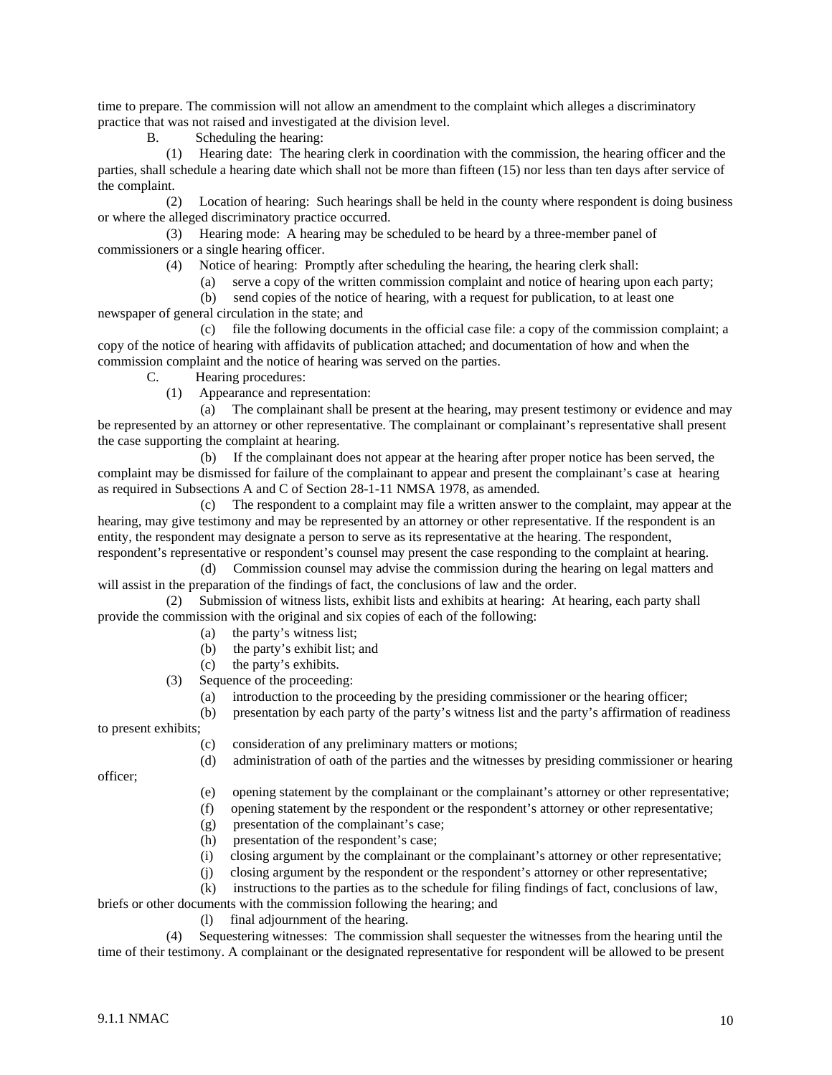time to prepare. The commission will not allow an amendment to the complaint which alleges a discriminatory practice that was not raised and investigated at the division level.

B. Scheduling the hearing:

 (1) Hearing date:The hearing clerk in coordination with the commission, the hearing officer and the parties, shall schedule a hearing date which shall not be more than fifteen (15) nor less than ten days after service of the complaint.

 (2) Location of hearing: Such hearings shall be held in the county where respondent is doing business or where the alleged discriminatory practice occurred.

 (3) Hearing mode:A hearing may be scheduled to be heard by a three-member panel of commissioners or a single hearing officer.

- (4) Notice of hearing:Promptly after scheduling the hearing, the hearing clerk shall:
	- (a) serve a copy of the written commission complaint and notice of hearing upon each party;
	- (b) send copies of the notice of hearing, with a request for publication, to at least one

newspaper of general circulation in the state; and

 (c) file the following documents in the official case file: a copy of the commission complaint; a copy of the notice of hearing with affidavits of publication attached; and documentation of how and when the commission complaint and the notice of hearing was served on the parties.

C. Hearing procedures:

(1) Appearance and representation:

 (a) The complainant shall be present at the hearing, may present testimony or evidence and may be represented by an attorney or other representative. The complainant or complainant's representative shall present the case supporting the complaint at hearing.

 (b) If the complainant does not appear at the hearing after proper notice has been served, the complaint may be dismissed for failure of the complainant to appear and present the complainant's case at hearing as required in Subsections A and C of Section 28-1-11 NMSA 1978, as amended.

 (c) The respondent to a complaint may file a written answer to the complaint, may appear at the hearing, may give testimony and may be represented by an attorney or other representative. If the respondent is an entity, the respondent may designate a person to serve as its representative at the hearing. The respondent, respondent's representative or respondent's counsel may present the case responding to the complaint at hearing.

 (d) Commission counsel may advise the commission during the hearing on legal matters and will assist in the preparation of the findings of fact, the conclusions of law and the order.

 (2) Submission of witness lists, exhibit lists and exhibits at hearing:At hearing, each party shall provide the commission with the original and six copies of each of the following:

- (a) the party's witness list;
- (b) the party's exhibit list; and
- (c) the party's exhibits.

(3) Sequence of the proceeding:

(a) introduction to the proceeding by the presiding commissioner or the hearing officer;

 (b) presentation by each party of the party's witness list and the party's affirmation of readiness to present exhibits;

- (c) consideration of any preliminary matters or motions;
- (d) administration of oath of the parties and the witnesses by presiding commissioner or hearing

officer;

- (e) opening statement by the complainant or the complainant's attorney or other representative;
- (f) opening statement by the respondent or the respondent's attorney or other representative;
- (g) presentation of the complainant's case;
- (h) presentation of the respondent's case;
- (i) closing argument by the complainant or the complainant's attorney or other representative;
- (j) closing argument by the respondent or the respondent's attorney or other representative;
- (k) instructions to the parties as to the schedule for filing findings of fact, conclusions of law,

briefs or other documents with the commission following the hearing; and

(l) final adjournment of the hearing.

 (4) Sequestering witnesses:The commission shall sequester the witnesses from the hearing until the time of their testimony. A complainant or the designated representative for respondent will be allowed to be present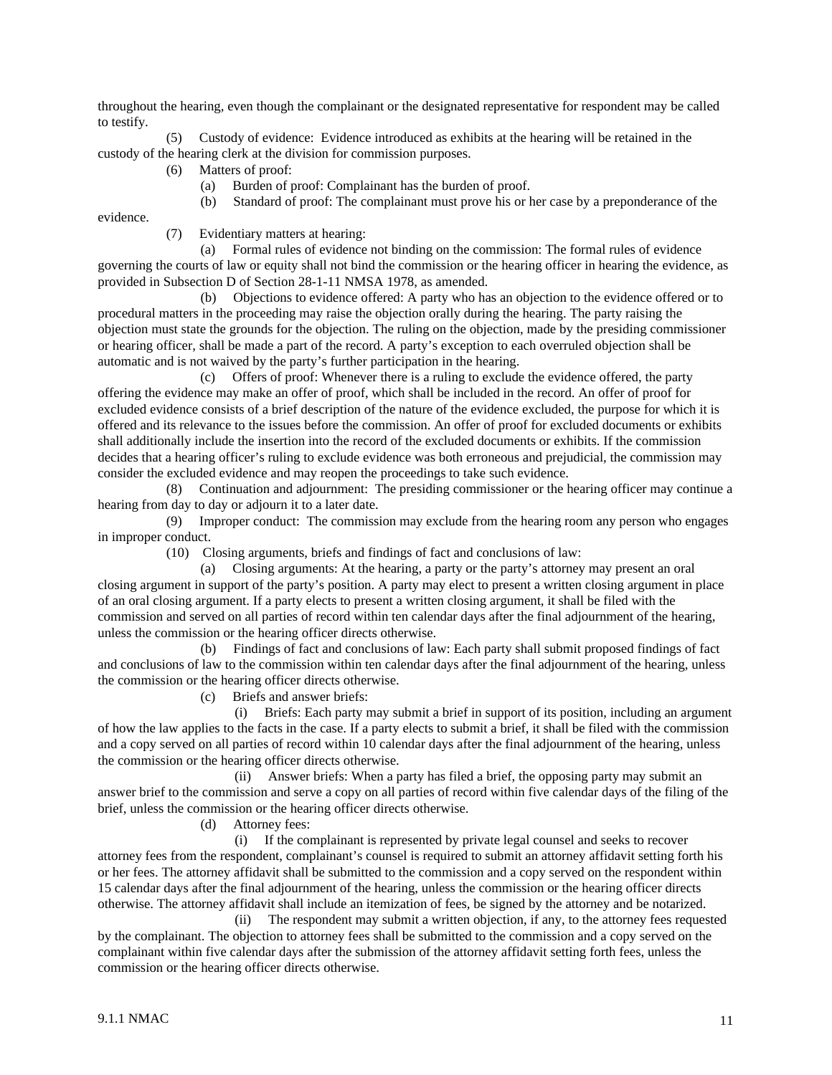throughout the hearing, even though the complainant or the designated representative for respondent may be called to testify.

 (5) Custody of evidence: Evidence introduced as exhibits at the hearing will be retained in the custody of the hearing clerk at the division for commission purposes.

(6) Matters of proof:

(a) Burden of proof: Complainant has the burden of proof.

(b) Standard of proof: The complainant must prove his or her case by a preponderance of the

evidence.

(7) Evidentiary matters at hearing:

 (a) Formal rules of evidence not binding on the commission: The formal rules of evidence governing the courts of law or equity shall not bind the commission or the hearing officer in hearing the evidence, as provided in Subsection D of Section 28-1-11 NMSA 1978, as amended.

 (b) Objections to evidence offered: A party who has an objection to the evidence offered or to procedural matters in the proceeding may raise the objection orally during the hearing. The party raising the objection must state the grounds for the objection. The ruling on the objection, made by the presiding commissioner or hearing officer, shall be made a part of the record. A party's exception to each overruled objection shall be automatic and is not waived by the party's further participation in the hearing.

 (c) Offers of proof: Whenever there is a ruling to exclude the evidence offered, the party offering the evidence may make an offer of proof, which shall be included in the record. An offer of proof for excluded evidence consists of a brief description of the nature of the evidence excluded, the purpose for which it is offered and its relevance to the issues before the commission. An offer of proof for excluded documents or exhibits shall additionally include the insertion into the record of the excluded documents or exhibits. If the commission decides that a hearing officer's ruling to exclude evidence was both erroneous and prejudicial, the commission may consider the excluded evidence and may reopen the proceedings to take such evidence.

 (8) Continuation and adjournment: The presiding commissioner or the hearing officer may continue a hearing from day to day or adjourn it to a later date.

 (9) Improper conduct:The commission may exclude from the hearing room any person who engages in improper conduct.

(10) Closing arguments, briefs and findings of fact and conclusions of law:

 (a) Closing arguments: At the hearing, a party or the party's attorney may present an oral closing argument in support of the party's position. A party may elect to present a written closing argument in place of an oral closing argument. If a party elects to present a written closing argument, it shall be filed with the commission and served on all parties of record within ten calendar days after the final adjournment of the hearing, unless the commission or the hearing officer directs otherwise.

 (b) Findings of fact and conclusions of law: Each party shall submit proposed findings of fact and conclusions of law to the commission within ten calendar days after the final adjournment of the hearing, unless the commission or the hearing officer directs otherwise.

(c) Briefs and answer briefs:

 (i) Briefs: Each party may submit a brief in support of its position, including an argument of how the law applies to the facts in the case. If a party elects to submit a brief, it shall be filed with the commission and a copy served on all parties of record within 10 calendar days after the final adjournment of the hearing, unless the commission or the hearing officer directs otherwise.

 (ii) Answer briefs: When a party has filed a brief, the opposing party may submit an answer brief to the commission and serve a copy on all parties of record within five calendar days of the filing of the brief, unless the commission or the hearing officer directs otherwise.

(d) Attorney fees:

 (i) If the complainant is represented by private legal counsel and seeks to recover attorney fees from the respondent, complainant's counsel is required to submit an attorney affidavit setting forth his or her fees. The attorney affidavit shall be submitted to the commission and a copy served on the respondent within 15 calendar days after the final adjournment of the hearing, unless the commission or the hearing officer directs otherwise. The attorney affidavit shall include an itemization of fees, be signed by the attorney and be notarized.

 (ii) The respondent may submit a written objection, if any, to the attorney fees requested by the complainant. The objection to attorney fees shall be submitted to the commission and a copy served on the complainant within five calendar days after the submission of the attorney affidavit setting forth fees, unless the commission or the hearing officer directs otherwise.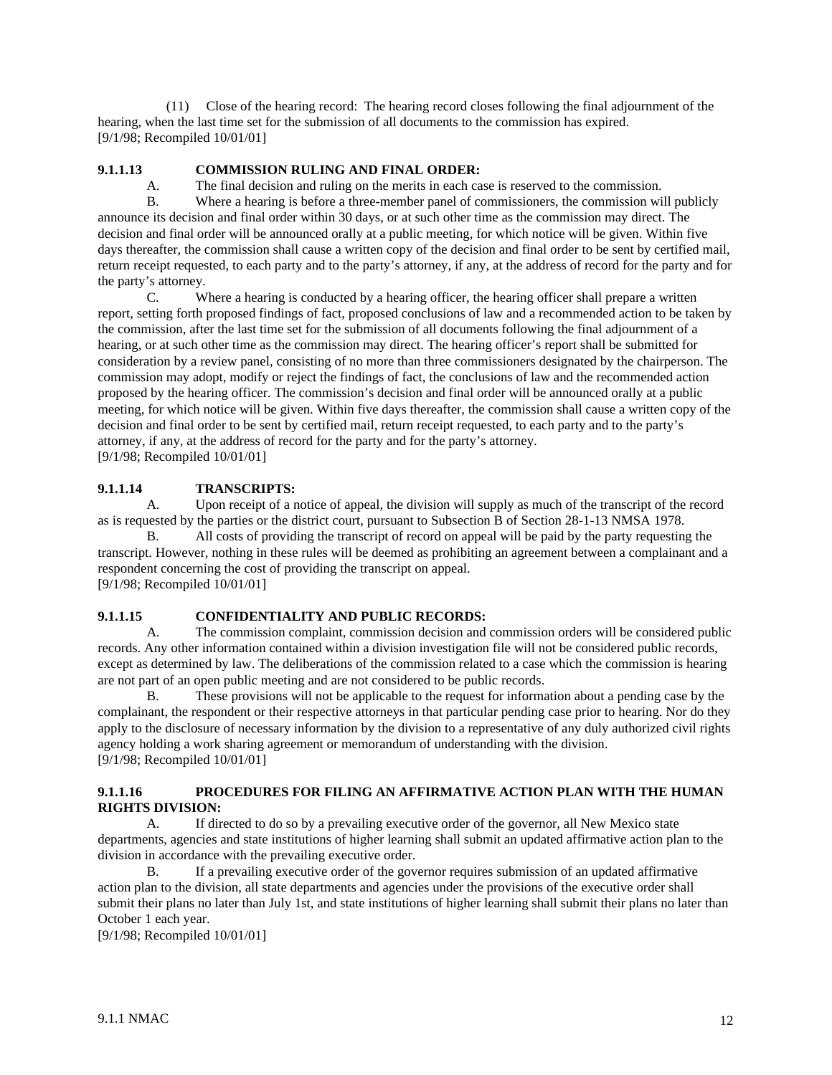(11) Close of the hearing record:The hearing record closes following the final adjournment of the hearing, when the last time set for the submission of all documents to the commission has expired. [9/1/98; Recompiled 10/01/01]

# **9.1.1.13 COMMISSION RULING AND FINAL ORDER:**

A. The final decision and ruling on the merits in each case is reserved to the commission.

B. Where a hearing is before a three-member panel of commissioners, the commission will publicly announce its decision and final order within 30 days, or at such other time as the commission may direct. The decision and final order will be announced orally at a public meeting, for which notice will be given. Within five days thereafter, the commission shall cause a written copy of the decision and final order to be sent by certified mail, return receipt requested, to each party and to the party's attorney, if any, at the address of record for the party and for the party's attorney.

C. Where a hearing is conducted by a hearing officer, the hearing officer shall prepare a written report, setting forth proposed findings of fact, proposed conclusions of law and a recommended action to be taken by the commission, after the last time set for the submission of all documents following the final adjournment of a hearing, or at such other time as the commission may direct. The hearing officer's report shall be submitted for consideration by a review panel, consisting of no more than three commissioners designated by the chairperson. The commission may adopt, modify or reject the findings of fact, the conclusions of law and the recommended action proposed by the hearing officer. The commission's decision and final order will be announced orally at a public meeting, for which notice will be given. Within five days thereafter, the commission shall cause a written copy of the decision and final order to be sent by certified mail, return receipt requested, to each party and to the party's attorney, if any, at the address of record for the party and for the party's attorney. [9/1/98; Recompiled 10/01/01]

# **9.1.1.14 TRANSCRIPTS:**

A. Upon receipt of a notice of appeal, the division will supply as much of the transcript of the record as is requested by the parties or the district court, pursuant to Subsection B of Section 28-1-13 NMSA 1978.

B. All costs of providing the transcript of record on appeal will be paid by the party requesting the transcript. However, nothing in these rules will be deemed as prohibiting an agreement between a complainant and a respondent concerning the cost of providing the transcript on appeal. [9/1/98; Recompiled 10/01/01]

## **9.1.1.15 CONFIDENTIALITY AND PUBLIC RECORDS:**

A. The commission complaint, commission decision and commission orders will be considered public records. Any other information contained within a division investigation file will not be considered public records, except as determined by law. The deliberations of the commission related to a case which the commission is hearing are not part of an open public meeting and are not considered to be public records.

B. These provisions will not be applicable to the request for information about a pending case by the complainant, the respondent or their respective attorneys in that particular pending case prior to hearing. Nor do they apply to the disclosure of necessary information by the division to a representative of any duly authorized civil rights agency holding a work sharing agreement or memorandum of understanding with the division. [9/1/98; Recompiled 10/01/01]

# **9.1.1.16 PROCEDURES FOR FILING AN AFFIRMATIVE ACTION PLAN WITH THE HUMAN RIGHTS DIVISION:**

A. If directed to do so by a prevailing executive order of the governor, all New Mexico state departments, agencies and state institutions of higher learning shall submit an updated affirmative action plan to the division in accordance with the prevailing executive order.

B. If a prevailing executive order of the governor requires submission of an updated affirmative action plan to the division, all state departments and agencies under the provisions of the executive order shall submit their plans no later than July 1st, and state institutions of higher learning shall submit their plans no later than October 1 each year.

[9/1/98; Recompiled 10/01/01]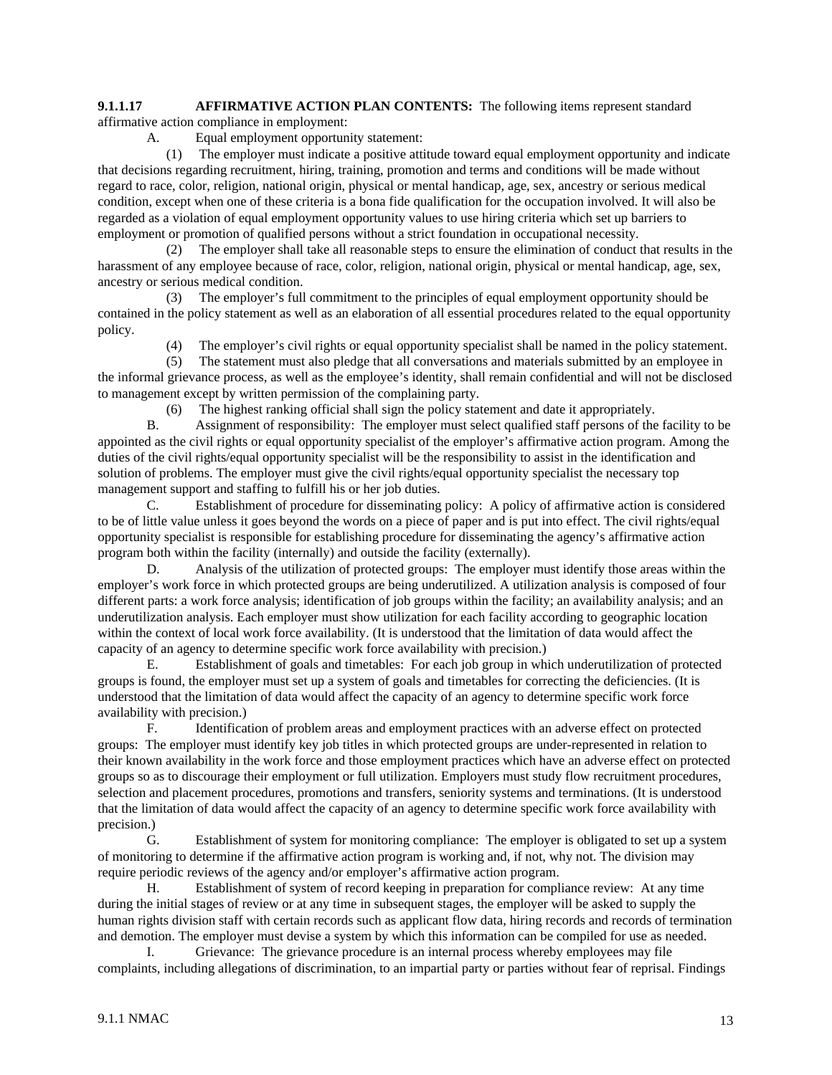#### **9.1.1.17 AFFIRMATIVE ACTION PLAN CONTENTS:** The following items represent standard affirmative action compliance in employment:

A. Equal employment opportunity statement:

 (1) The employer must indicate a positive attitude toward equal employment opportunity and indicate that decisions regarding recruitment, hiring, training, promotion and terms and conditions will be made without regard to race, color, religion, national origin, physical or mental handicap, age, sex, ancestry or serious medical condition, except when one of these criteria is a bona fide qualification for the occupation involved. It will also be regarded as a violation of equal employment opportunity values to use hiring criteria which set up barriers to employment or promotion of qualified persons without a strict foundation in occupational necessity.

 (2) The employer shall take all reasonable steps to ensure the elimination of conduct that results in the harassment of any employee because of race, color, religion, national origin, physical or mental handicap, age, sex, ancestry or serious medical condition.

 (3) The employer's full commitment to the principles of equal employment opportunity should be contained in the policy statement as well as an elaboration of all essential procedures related to the equal opportunity policy.

(4) The employer's civil rights or equal opportunity specialist shall be named in the policy statement.

 (5) The statement must also pledge that all conversations and materials submitted by an employee in the informal grievance process, as well as the employee's identity, shall remain confidential and will not be disclosed to management except by written permission of the complaining party.

(6) The highest ranking official shall sign the policy statement and date it appropriately.

B. Assignment of responsibility:The employer must select qualified staff persons of the facility to be appointed as the civil rights or equal opportunity specialist of the employer's affirmative action program. Among the duties of the civil rights/equal opportunity specialist will be the responsibility to assist in the identification and solution of problems. The employer must give the civil rights/equal opportunity specialist the necessary top management support and staffing to fulfill his or her job duties.

C. Establishment of procedure for disseminating policy:A policy of affirmative action is considered to be of little value unless it goes beyond the words on a piece of paper and is put into effect. The civil rights/equal opportunity specialist is responsible for establishing procedure for disseminating the agency's affirmative action program both within the facility (internally) and outside the facility (externally).

D. Analysis of the utilization of protected groups:The employer must identify those areas within the employer's work force in which protected groups are being underutilized. A utilization analysis is composed of four different parts: a work force analysis; identification of job groups within the facility; an availability analysis; and an underutilization analysis. Each employer must show utilization for each facility according to geographic location within the context of local work force availability. (It is understood that the limitation of data would affect the capacity of an agency to determine specific work force availability with precision.)

E. Establishment of goals and timetables:For each job group in which underutilization of protected groups is found, the employer must set up a system of goals and timetables for correcting the deficiencies. (It is understood that the limitation of data would affect the capacity of an agency to determine specific work force availability with precision.)

F. Identification of problem areas and employment practices with an adverse effect on protected groups:The employer must identify key job titles in which protected groups are under-represented in relation to their known availability in the work force and those employment practices which have an adverse effect on protected groups so as to discourage their employment or full utilization. Employers must study flow recruitment procedures, selection and placement procedures, promotions and transfers, seniority systems and terminations. (It is understood that the limitation of data would affect the capacity of an agency to determine specific work force availability with precision.)

G. Establishment of system for monitoring compliance:The employer is obligated to set up a system of monitoring to determine if the affirmative action program is working and, if not, why not. The division may require periodic reviews of the agency and/or employer's affirmative action program.

H. Establishment of system of record keeping in preparation for compliance review:At any time during the initial stages of review or at any time in subsequent stages, the employer will be asked to supply the human rights division staff with certain records such as applicant flow data, hiring records and records of termination and demotion. The employer must devise a system by which this information can be compiled for use as needed.

I. Grievance: The grievance procedure is an internal process whereby employees may file complaints, including allegations of discrimination, to an impartial party or parties without fear of reprisal. Findings